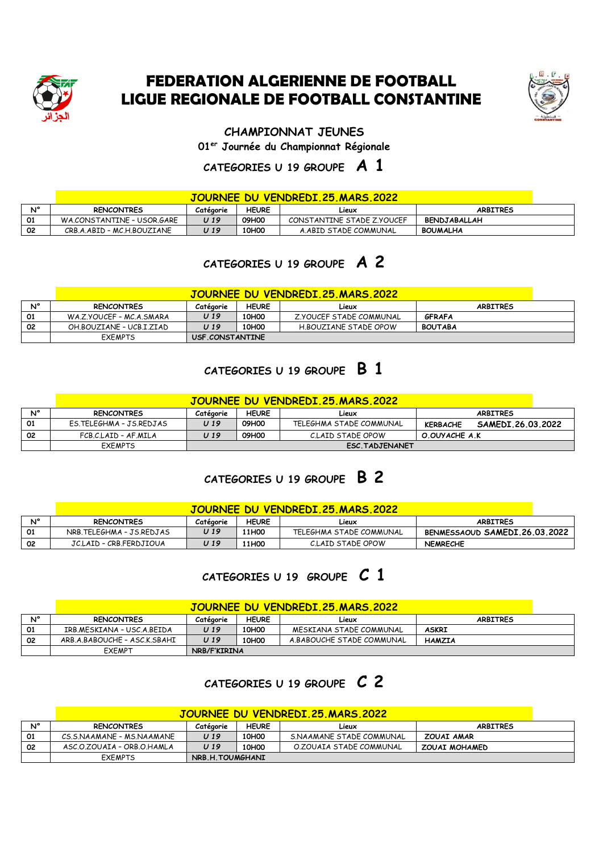

## **FEDERATION ALGERIENNE DE FOOTBALL LIGUE REGIONALE DE FOOTBALL CONSTANTINE**



#### **CHAMPIONNAT JEUNES**

**01er Journée du Championnat Régionale**

### **CATEGORIES U 19 GROUPE A 1**

#### **JOURNEE DU VENDREDI.25.MARS.2022**

|             | <u>UUUNNLE DU TENUNEDI.EJ.MANU.EVEE</u> |           |              |                            |                     |  |  |
|-------------|-----------------------------------------|-----------|--------------|----------------------------|---------------------|--|--|
| $N^{\circ}$ | <b>RENCONTRES</b>                       | Catégorie | <b>HEURE</b> | Lieux                      | <b>ARBITRES</b>     |  |  |
| 01          | WA.CONSTANTINE - USOR, GARE             | U 19      | 09H00        | CONSTANTINE STADE Z.YOUCEF | <b>BENDJABALLAH</b> |  |  |
| 02          | CRB.A.ABID - MC.H.BOUZIANE              | J 19      | 10H00        | A.ABID STADE COMMUNAL      | <b>BOUMALHA</b>     |  |  |

## **CATEGORIES U 19 GROUPE A 2**

|    | JOURNEE DU VENDREDI. 25. MARS. 2022 |                 |                   |                         |                 |  |  |  |
|----|-------------------------------------|-----------------|-------------------|-------------------------|-----------------|--|--|--|
| N° | <b>RENCONTRES</b>                   | Catégorie       | <b>HEURE</b>      | Lieux                   | <b>ARBITRES</b> |  |  |  |
| 01 | WA.Z.YOUCEF - MC.A.SMARA            | U 19            | 10H <sub>0</sub>  | Z.YOUCEF STADE COMMUNAL | <b>GFRAFA</b>   |  |  |  |
| 02 | OH.BOUZIANE - UCB.I.ZIAD            | U 19            | 10H <sub>00</sub> | H.BOUZIANE STADE OPOW   | <b>BOUTABA</b>  |  |  |  |
|    | <b>EXEMPTS</b>                      | USF.CONSTANTINE |                   |                         |                 |  |  |  |

## **CATEGORIES U 19 GROUPE B 1**

|    |                         |           |              | JOURNEE DU VENDREDI 25 MARS 2022 |                                      |
|----|-------------------------|-----------|--------------|----------------------------------|--------------------------------------|
| Ν° | <b>RENCONTRES</b>       | Catégorie | <b>HEURE</b> | Lieux                            | <b>ARBITRES</b>                      |
| 01 | ES.TELEGHMA - JS.REDJAS | U 19      | 09H00        | TELEGHMA STADE COMMUNAL          | SAMEDI.26.03.2022<br><b>KERBACHE</b> |
| 02 | FCB.C.LAID - AF.MILA    | U 19      | 09H00        | C.LAID STADE OPOW                | O.OUYACHE A.K                        |
|    | <b>FXFMPTS</b>          |           |              | ESC.TADJENANET                   |                                      |

## **CATEGORIES U 19 GROUPE B 2**

#### **JOURNEE DU VENDREDI.25.MARS.2022**

| N° | <b>RENCONTRES</b>        | Catégorie | <b>HEURE</b> | Lieux                   | <b>ARBITRES</b>               |
|----|--------------------------|-----------|--------------|-------------------------|-------------------------------|
|    | NRB.TELEGHMA - JS.REDJAS | J 19      | <b>11H00</b> | TELEGHMA STADE COMMUNAL | BENMESSAOUD SAMEDI.26.03.2022 |
| 02 | JC.LAID - CRB.FERDJIOUA  | J 19      | <b>11H00</b> | C.LAID STADE OPOW       | <b>NEMRECHE</b>               |

## **CATEGORIES U 19 GROUPE C 1**

#### **JOURNEE DU VENDREDI.25.MARS.2022**

| N° | <b>RENCONTRES</b>            | Catégorie    | <b>HEURE</b>     | Lieux                     | <b>ARBITRES</b> |
|----|------------------------------|--------------|------------------|---------------------------|-----------------|
| 01 | IRB.MESKIANA - USC.A.BEIDA   | U 19         | 10H <sub>0</sub> | MESKIANA STADE COMMUNAL   | <b>ASKRI</b>    |
| 02 | ARB.A.BABOUCHE - ASC.K.SBAHI | U 19         | 10H <sub>0</sub> | A.BABOUCHE STADE COMMUNAL | <b>HAMZIA</b>   |
|    | EXEMPT                       | NRB/F'KIRINA |                  |                           |                 |

## **CATEGORIES U 19 GROUPE C 2**

### **JOURNEE DU VENDREDI.25.MARS.2022**

| N <sub>o</sub> | <b>RENCONTRES</b>          | Catégorie       | <b>HEURE</b> | Lieux                    | <b>ARBITRES</b>      |
|----------------|----------------------------|-----------------|--------------|--------------------------|----------------------|
| 01             | CS.S.NAAMANE - MS.NAAMANE  | U 19            | 10H00        | S.NAAMANE STADE COMMUNAL | ZOUAI AMAR           |
| 02             | ASC.O.ZOUAIA - ORB.O.HAMLA | U 19            | 10H00        | O.ZOUAIA STADE COMMUNAL  | <b>ZOUAI MOHAMED</b> |
|                | <b>EXEMPTS</b>             | NRB.H.TOUMGHANI |              |                          |                      |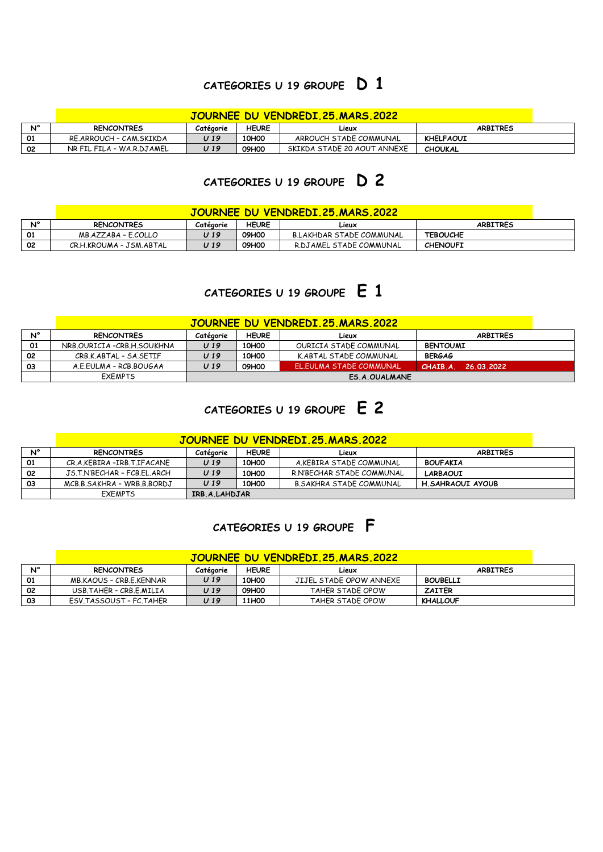### **CATEGORIES U 19 GROUPE D 1**

|    |                           |           |              | <u>JOURNEE DU VENDREDI.25.MARS.2022.</u> |                  |  |
|----|---------------------------|-----------|--------------|------------------------------------------|------------------|--|
| N° | <b>RENCONTRES</b>         | Catégorie | <b>HEURE</b> | Lieux                                    | <b>ARBITRES</b>  |  |
| 01 | RE.ARROUCH - CAM.SKIKDA   | U 19      | 10H00        | ARROUCH STADE COMMUNAL                   | <b>KHELFAOUI</b> |  |
| 02 | NR FIL FILA - WA.R.DJAMEL | U 19      | 09H00        | SKIKDA STADE 20 AOUT ANNEXE              | <b>CHOUKAL</b>   |  |

# **CATEGORIES U 19 GROUPE D 2**

#### **JOURNEE DU VENDREDI.25.MARS.2022**

|    | <u>UUUNNLL DU VLINDRLDI.EJ.MARJ.EVEE</u> |           |              |                          |                 |  |  |  |
|----|------------------------------------------|-----------|--------------|--------------------------|-----------------|--|--|--|
| N° | <b>RENCONTRES</b>                        | Catégorie | <b>HEURE</b> | Lieux                    | <b>ARBITRES</b> |  |  |  |
|    | MB.AZZABA - E.COLLO                      | J 19      | 09H00        | B.LAKHDAR STADE COMMUNAL | <b>TEBOUCHE</b> |  |  |  |
| 02 | CR.H.KROUMA - JSM.ABTAL                  | J 19      | 09H00        | R.DJAMEL STADE COMMUNAL  | <b>CHENOUFI</b> |  |  |  |

## **CATEGORIES U 19 GROUPE E 1**

#### **JOURNEE DU VENDREDI.25.MARS.2022**

| $N^{\circ}$ | <b>RENCONTRES</b>            | Catégorie | <b>HEURE</b>      | Lieux                   | <b>ARBITRES</b>       |
|-------------|------------------------------|-----------|-------------------|-------------------------|-----------------------|
| 01          | NRB OURICIA - CRB H. SOUKHNA | U 19      | 10H <sub>00</sub> | OURICIA STADE COMMUNAL  | <b>BENTOUMI</b>       |
| 02          | CRB.K.ABTAL - SA.SETIF       | U 19      | 10H <sub>0</sub>  | K.ABTAL STADE COMMUNAL  | <b>BERGAG</b>         |
| 03          | A.E.EULMA - RCB.BOUGAA       | U 19      | 09H00             | EL.EULMA STADE COMMUNAL | CHAIB A<br>26.03.2022 |
|             | <b>EXEMPTS</b>               |           |                   | ES.A.OUALMANE           |                       |

## **CATEGORIES U 19 GROUPE E 2**

|    |                             | JOURNEE DU VENDREDI 25 MARS 2022 |                   |                                |                  |  |  |  |
|----|-----------------------------|----------------------------------|-------------------|--------------------------------|------------------|--|--|--|
| N° | <b>RENCONTRES</b>           | Catégorie                        | <b>HEURE</b>      | Lieux                          | <b>ARBITRES</b>  |  |  |  |
| 01 | CR.A.KEBIRA -IRB.T.IFACANE  | U 19                             | 10H <sub>0</sub>  | A.KEBIRA STADE COMMUNAL        | <b>BOUFAKIA</b>  |  |  |  |
| 02 | JS.T.N'BECHAR - FCB.FL.ARCH | U 19                             | 10H <sub>0</sub>  | R.N'BECHAR STADE COMMUNAL      | <b>LARBAOUI</b>  |  |  |  |
| 03 | MCB B SAKHRA - WRB B BORDJ  | U 19                             | 10H <sub>00</sub> | <b>B.SAKHRA STADE COMMUNAL</b> | H.SAHRAOUI AYOUB |  |  |  |
|    | <b>FXFMPTS</b>              | IRB.A.LAHDJAR                    |                   |                                |                  |  |  |  |

### **CATEGORIES U 19 GROUPE F**

| JOURNEE DU VENDREDI.25.MARS.2022 |                         |           |                   |                         |                 |  |  |
|----------------------------------|-------------------------|-----------|-------------------|-------------------------|-----------------|--|--|
| Ν°                               | <b>RENCONTRES</b>       | Catégorie | <b>HEURE</b>      | Lieux                   | <b>ARBITRES</b> |  |  |
| 01                               | MB.KAOUS - CRB.E.KENNAR | U 19      | 10H <sub>0</sub>  | JIJEL STADE OPOW ANNEXE | <b>BOUBELLI</b> |  |  |
| 02                               | USB.TAHER - CRB.E.MILIA | U 19      | 09H00             | TAHER STADE OPOW        | <b>ZAITER</b>   |  |  |
| 03                               | ESV.TASSOUST - FC.TAHER | U 19      | 11H <sub>00</sub> | TAHER STADE OPOW        | <b>KHALLOUF</b> |  |  |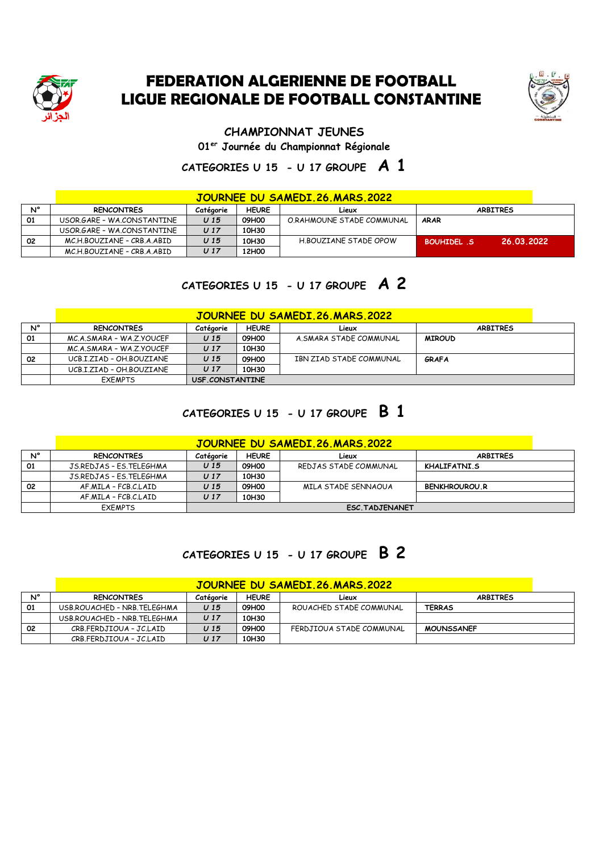

## **FEDERATION ALGERIENNE DE FOOTBALL LIGUE REGIONALE DE FOOTBALL CONSTANTINE**



**CHAMPIONNAT JEUNES**

**01er Journée du Championnat Régionale**

## **CATEGORIES U 15 - U 17 GROUPE A 1**

|    |                            |                 |              | JOURNEE DU SAMEDI.26.MARS.2022 |                                 |  |
|----|----------------------------|-----------------|--------------|--------------------------------|---------------------------------|--|
| N° | <b>RENCONTRES</b>          | Catégorie       | <b>HEURE</b> | Lieux                          | <b>ARBITRES</b>                 |  |
| 01 | USOR.GARE - WA.CONSTANTINE | U <sub>15</sub> | 09H00        | O.RAHMOUNE STADE COMMUNAL      | <b>ARAR</b>                     |  |
|    | USOR.GARE - WA.CONSTANTINE | U <sub>17</sub> | 10H30        |                                |                                 |  |
| 02 | MCH BOUZIANE - CRB A ABID  | U <sub>15</sub> | 10H30        | H.BOUZIANE STADE OPOW          | 26.03.2022<br><b>BOUHIDEL S</b> |  |
|    | MC.H.BOUZIANE - CRB.A.ABID | U 17            | 12H00        |                                |                                 |  |

## **CATEGORIES U 15 - U 17 GROUPE A 2**

|    | <b>JOURNEE DU SAMEDI.26.MARS.2022</b> |                 |                 |                         |                 |  |  |  |
|----|---------------------------------------|-----------------|-----------------|-------------------------|-----------------|--|--|--|
| N° | <b>RENCONTRES</b>                     | Catégorie       | <b>HEURE</b>    | Lieux                   | <b>ARBITRES</b> |  |  |  |
| 01 | MC.A.SMARA - WA.Z.YOUCEF              | U <sub>15</sub> | 09H00           | A.SMARA STADE COMMUNAL  | <b>MIROUD</b>   |  |  |  |
|    | MC.A.SMARA - WA.Z.YOUCEF              | U <sub>17</sub> | 10H30           |                         |                 |  |  |  |
| 02 | UCB.I.ZIAD - OH.BOUZIANE              | U <sub>15</sub> | 09H00           | IBN ZIAD STADE COMMUNAL | GRAFA           |  |  |  |
|    | UCB.I.ZIAD - OH.BOUZIANE              | U <sub>17</sub> | 10H30           |                         |                 |  |  |  |
|    | <b>FXFMPTS</b>                        |                 | USF.CONSTANTINE |                         |                 |  |  |  |

## **CATEGORIES U 15 - U 17 GROUPE B 1**

|    | JOURNEE DU SAMEDI.26.MARS.2022 |                        |              |                       |                      |  |  |  |
|----|--------------------------------|------------------------|--------------|-----------------------|----------------------|--|--|--|
| N° | <b>RENCONTRES</b>              | Catégorie              | <b>HEURE</b> | Lieux                 | <b>ARBITRES</b>      |  |  |  |
| 01 | JS.REDJAS - ES.TELEGHMA        | U <sub>15</sub>        | 09H00        | REDJAS STADE COMMUNAL | KHALIFATNI.S         |  |  |  |
|    | JS.REDJAS - ES.TELEGHMA        | U <sub>17</sub>        | 10H30        |                       |                      |  |  |  |
| 02 | AF.MILA - FCB.C.LAID           | U <sub>15</sub>        | 09H00        | MILA STADE SENNAOUA   | <b>BENKHROUROU.R</b> |  |  |  |
|    | AF.MILA - FCB.C.LAID           | U <sub>17</sub>        | 10H30        |                       |                      |  |  |  |
|    | <b>EXEMPTS</b>                 | <b>ESC. TADJENANET</b> |              |                       |                      |  |  |  |

## **CATEGORIES U 15 - U 17 GROUPE B 2**

#### **JOURNEE DU SAMEDI.26.MARS.2022**

| N° | <b>RENCONTRES</b>           | Catégorie | <b>HEURE</b> | Lieux                    | <b>ARBITRES</b>   |  |  |
|----|-----------------------------|-----------|--------------|--------------------------|-------------------|--|--|
| 01 | USB.ROUACHED - NRB.TELEGHMA | U 15      | 09H00        | ROUACHED STADE COMMUNAL  | <b>TERRAS</b>     |  |  |
|    | USB.ROUACHED - NRB.TELEGHMA | U 17      | 10H30        |                          |                   |  |  |
| 02 | CRB.FERDJIOUA - JC.LAID     | U 15      | 09H00        | FERDJIOUA STADE COMMUNAL | <b>MOUNSSANEF</b> |  |  |
|    | CRB.FERDJIOUA - JC.LAID     | U 17      | 10H30        |                          |                   |  |  |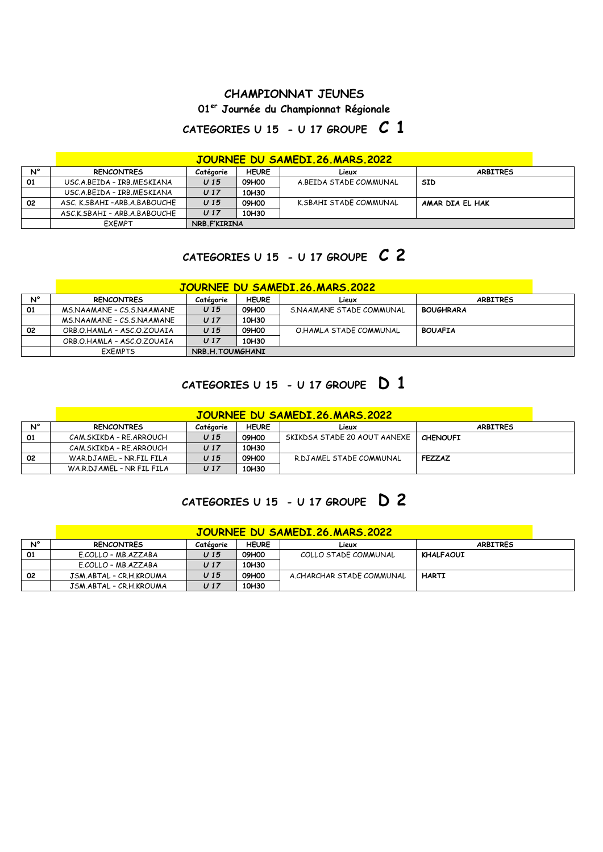#### **CHAMPIONNAT JEUNES**

### **01er Journée du Championnat Régionale**

### **CATEGORIES U 15 - U 17 GROUPE C 1**

|    | <b>JOURNEE DU SAMEDI.26.MARS.2022</b> |                 |              |                        |                 |  |  |  |
|----|---------------------------------------|-----------------|--------------|------------------------|-----------------|--|--|--|
| N° | <b>RENCONTRES</b>                     | Catégorie       | <b>HEURE</b> | Lieux                  | <b>ARBITRES</b> |  |  |  |
| 01 | USC.A.BEIDA - IRB.MESKIANA            | U <sub>15</sub> | 09H00        | A.BEIDA STADE COMMUNAL | <b>SID</b>      |  |  |  |
|    | USC A BEIDA - IRB MESKIANA            | U <sub>17</sub> | 10H30        |                        |                 |  |  |  |
| 02 | ASC. K.SBAHI-ARB.A.BABOUCHE           | U <sub>15</sub> | 09H00        | K.SBAHI STADE COMMUNAL | AMAR DIA EL HAK |  |  |  |
|    | ASC.K.SBAHI - ARB.A.BABOUCHE          | U <sub>17</sub> | 10H30        |                        |                 |  |  |  |
|    | EXEMPT                                |                 | NRB.F'KIRINA |                        |                 |  |  |  |

# **CATEGORIES U 15 - U 17 GROUPE C 2**

### **JOURNEE DU SAMEDI.26.MARS.2022**

| N° | RENCONTRES                 | Catégorie | <b>HEURE</b>    | Lieux                    | <b>ARBITRES</b>  |  |
|----|----------------------------|-----------|-----------------|--------------------------|------------------|--|
| 01 | MS.NAAMANE - CS.S.NAAMANE  | U 15      | 09H00           | S.NAAMANE STADE COMMUNAL | <b>BOUGHRARA</b> |  |
|    | MS.NAAMANE - CS.S.NAAMANE  | U 17      | 10H30           |                          |                  |  |
| 02 | ORB O HAMLA - ASC O ZOUAIA | U 15      | 09H00           | O.HAMLA STADE COMMUNAL   | <b>BOUAFIA</b>   |  |
|    | ORB.O.HAMLA - ASC.O.ZOUAIA | U 17      | 10H30           |                          |                  |  |
|    | <b>FXFMPTS</b>             |           | NRB.H.TOUMGHANI |                          |                  |  |

# **CATEGORIES U 15 - U 17 GROUPE D 1**

|    | JOURNEE DU SAMEDI.26.MARS.2022 |                 |              |                              |                 |  |  |  |
|----|--------------------------------|-----------------|--------------|------------------------------|-----------------|--|--|--|
| N° | <b>RENCONTRES</b>              | Catégorie       | <b>HEURE</b> | Lieux                        | <b>ARBITRES</b> |  |  |  |
| 01 | CAM.SKIKDA - RE.ARROUCH        | U <sub>15</sub> | 09H00        | SKIKDSA STADE 20 AOUT AANEXE | <b>CHENOUFI</b> |  |  |  |
|    | CAM.SKIKDA - RE.ARROUCH        | U 17            | 10H30        |                              |                 |  |  |  |
| 02 | WAR.DJAMEL - NR.FIL FILA       | U 15            | 09H00        | R.DJAMEL STADE COMMUNAL      | <b>FEZZAZ</b>   |  |  |  |
|    | WA.R.DJAMEL - NR FIL FILA      | U 17            | 10H30        |                              |                 |  |  |  |

## **CATEGORIES U 15 - U 17 GROUPE D 2**

|    | JOURNEE DU SAMEDI 26 MARS 2022 |           |              |                           |                 |  |  |  |
|----|--------------------------------|-----------|--------------|---------------------------|-----------------|--|--|--|
| N° | <b>RENCONTRES</b>              | Catégorie | <b>HEURE</b> | Lieux                     | <b>ARBITRES</b> |  |  |  |
| 01 | E.COLLO - MB.AZZABA            | U 15      | 09H00        | COLLO STADE COMMUNAL      | KHALFAOUI       |  |  |  |
|    | E.COLLO - MB.AZZABA            | U 17      | 10H30        |                           |                 |  |  |  |
| 02 | JSM.ABTAL - CR.H.KROUMA        | U 15      | 09H00        | A.CHARCHAR STADE COMMUNAL | <b>HARTI</b>    |  |  |  |
|    | JSM.ABTAL - CR.H.KROUMA        | U 17      | 10H30        |                           |                 |  |  |  |